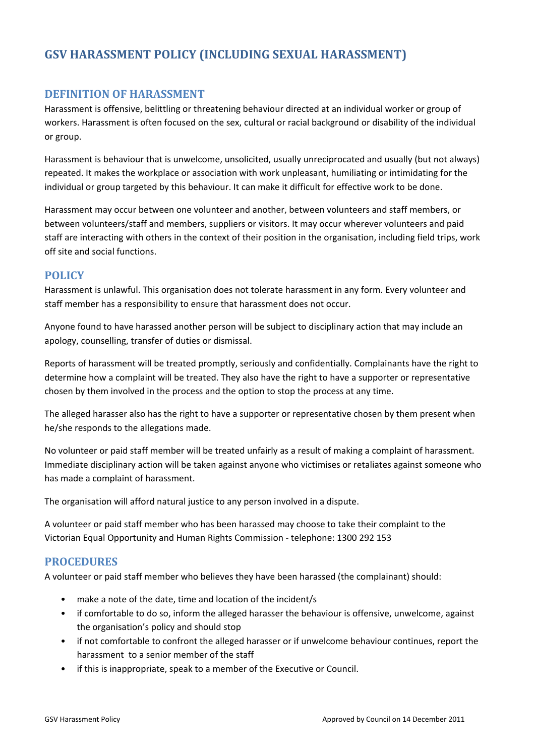# **GSV HARASSMENT POLICY (INCLUDING SEXUAL HARASSMENT)**

## **DEFINITION OF HARASSMENT**

Harassment is offensive, belittling or threatening behaviour directed at an individual worker or group of workers. Harassment is often focused on the sex, cultural or racial background or disability of the individual or group.

Harassment is behaviour that is unwelcome, unsolicited, usually unreciprocated and usually (but not always) repeated. It makes the workplace or association with work unpleasant, humiliating or intimidating for the individual or group targeted by this behaviour. It can make it difficult for effective work to be done.

Harassment may occur between one volunteer and another, between volunteers and staff members, or between volunteers/staff and members, suppliers or visitors. It may occur wherever volunteers and paid staff are interacting with others in the context of their position in the organisation, including field trips, work off site and social functions.

## **POLICY**

Harassment is unlawful. This organisation does not tolerate harassment in any form. Every volunteer and staff member has a responsibility to ensure that harassment does not occur.

Anyone found to have harassed another person will be subject to disciplinary action that may include an apology, counselling, transfer of duties or dismissal.

Reports of harassment will be treated promptly, seriously and confidentially. Complainants have the right to determine how a complaint will be treated. They also have the right to have a supporter or representative chosen by them involved in the process and the option to stop the process at any time.

The alleged harasser also has the right to have a supporter or representative chosen by them present when he/she responds to the allegations made.

No volunteer or paid staff member will be treated unfairly as a result of making a complaint of harassment. Immediate disciplinary action will be taken against anyone who victimises or retaliates against someone who has made a complaint of harassment.

The organisation will afford natural justice to any person involved in a dispute.

A volunteer or paid staff member who has been harassed may choose to take their complaint to the Victorian Equal Opportunity and Human Rights Commission ‐ telephone: 1300 292 153

## **PROCEDURES**

A volunteer or paid staff member who believes they have been harassed (the complainant) should:

- make a note of the date, time and location of the incident/s
- if comfortable to do so, inform the alleged harasser the behaviour is offensive, unwelcome, against the organisation's policy and should stop
- if not comfortable to confront the alleged harasser or if unwelcome behaviour continues, report the harassment to a senior member of the staff
- if this is inappropriate, speak to a member of the Executive or Council.